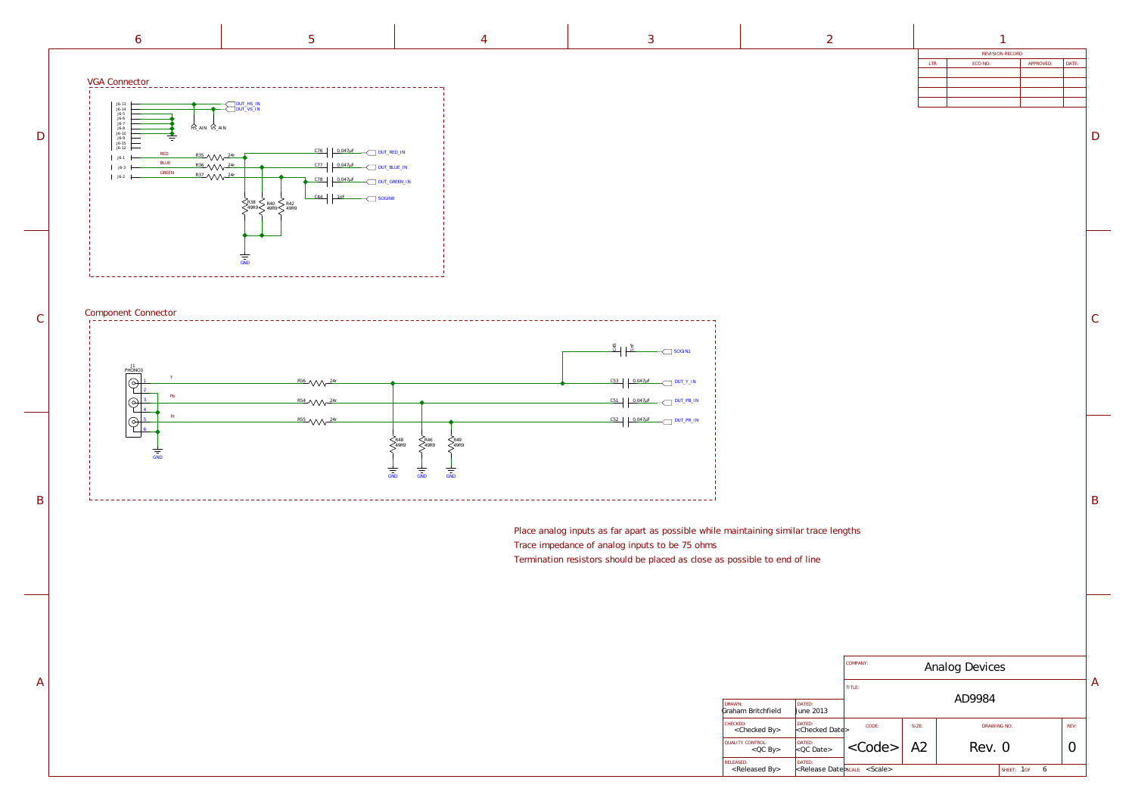|                                                 |                                       | COMPANY:                             | Analog Devices |             |                 |      |   |
|-------------------------------------------------|---------------------------------------|--------------------------------------|----------------|-------------|-----------------|------|---|
|                                                 |                                       | TITLE:                               |                |             |                 |      | A |
| DRAWN:<br>Graham Britchfield                    | DATED:<br>June 2013                   |                                      |                | AD9984      |                 |      |   |
| CHECKED:<br><checked by=""></checked>           | DATED:<br><checked date=""></checked> | CODE:                                | SIZE:          | DRAWING NO: |                 | REV: |   |
| QUALITY CONTROL:<br>$QCD$ By                    | DATED:<br>QCDate                      | $<$ Code>                            | A2             | Rev. 0      |                 |      |   |
| <b>RELEASED:</b><br><released by=""></released> | DATED:                                | <release date="">scale&gt;</release> |                |             | 6<br>SHEET: 1OF |      |   |

B

 $\mathcal{C}$ 

D

| REVISION RECORD |         |           |       |  |
|-----------------|---------|-----------|-------|--|
| <b>LTR</b>      | ECO NO: | APPROVED: | DATE: |  |
|                 |         |           |       |  |
|                 |         |           |       |  |
|                 |         |           |       |  |
|                 |         |           |       |  |
|                 |         |           |       |  |



<span id="page-0-0"></span>

1nF  $\sim$  [SOGIN1](#page-1-0)  $C53$  0.047 $\mu$ F  $\mu$  [DUT\\_Y\\_IN](#page-1-0)  $C51$  0.047 $\mu$ F  $\overline{\phantom{0}}$  [DUT\\_PB\\_IN](#page-1-0)  $C52$  0.047 $\mu$ F  $\overline{\phantom{0}}$  [DUT\\_PR\\_IN](#page-1-0) -------------------------

Place analog inputs as far apart as possible while maintaining similar trace lengths

- 
- Termination resistors should be placed as close as possible to end of line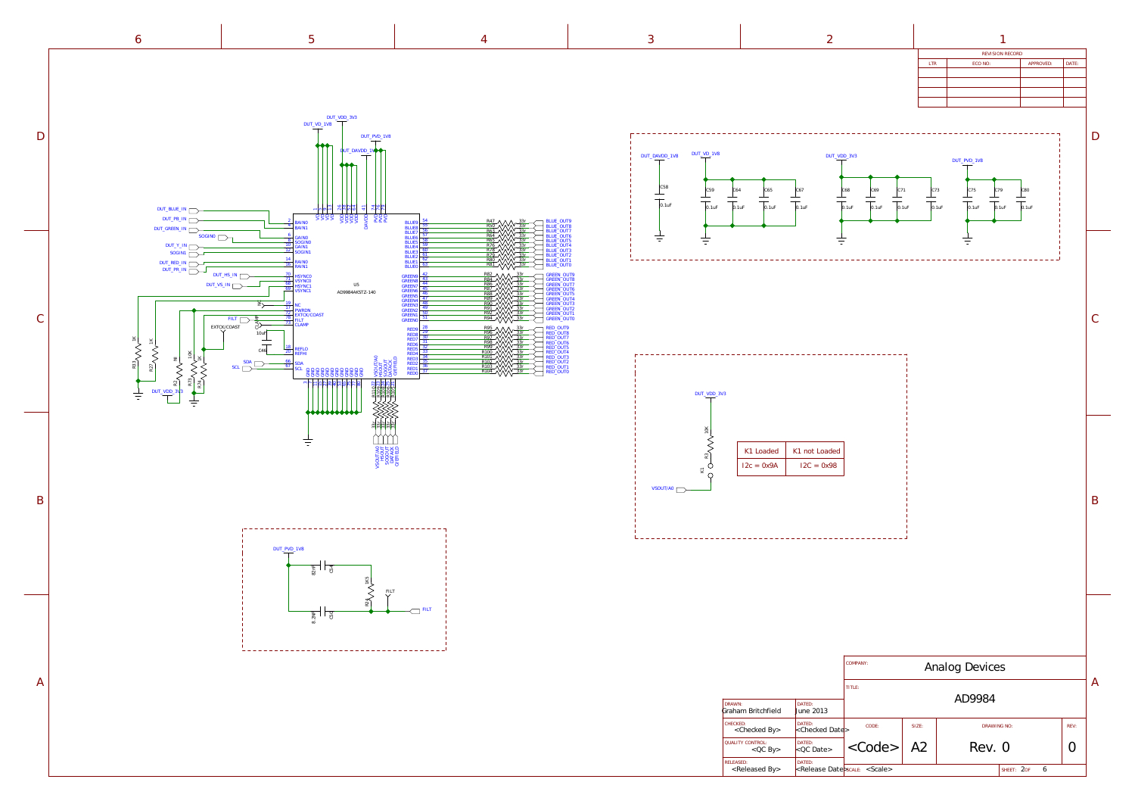

<span id="page-1-0"></span>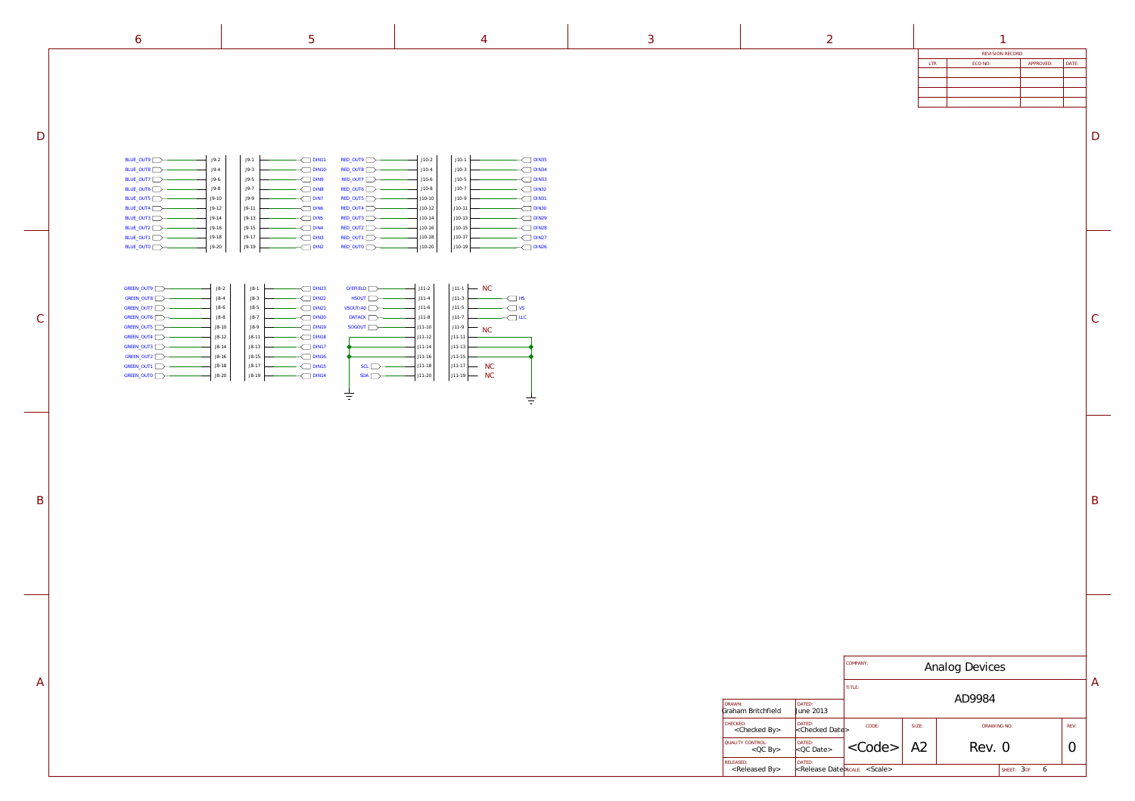|                                                 |                                       | COMPANY:                             | Analog Devices |             |                 |      |   |
|-------------------------------------------------|---------------------------------------|--------------------------------------|----------------|-------------|-----------------|------|---|
|                                                 |                                       | TITLE:                               |                | AD9984      |                 |      | A |
| DRAWN:<br>Graham Britchfield                    | DATED:<br>June 2013                   |                                      |                |             |                 |      |   |
| CHECKED:<br><checked by=""></checked>           | DATED:<br><checked date=""></checked> | CODE:                                | SIZE:          | DRAWING NO: |                 | REV: |   |
| QUALITY CONTROL:<br>$QC$ By                     | DATED:<br>$< QC$ Date>                | $<$ Code>                            | A2             | Rev. 0      |                 |      |   |
| <b>RELEASED:</b><br><released by=""></released> | DATED:                                | <release date="">scale&gt;</release> |                |             | SHEET: 30F<br>6 |      |   |

B

 $\mathcal{C}$ 

| REVISION RECORD |         |           |       |  |  |
|-----------------|---------|-----------|-------|--|--|
| <b>LTR</b>      | ECO NO: | APPROVED: | DATE: |  |  |
|                 |         |           |       |  |  |
|                 |         |           |       |  |  |
|                 |         |           |       |  |  |
|                 |         |           |       |  |  |
|                 |         |           |       |  |  |

 $D$ 

<span id="page-2-0"></span>D

 $\mathcal{C}$ 

B

A

| × | v<br>. . |
|---|----------|
|   |          |
|   |          |
|   |          |
|   |          |

6  $3$  1



| GREEN OUT9        | $JS-2$  |
|-------------------|---------|
| GREEN OUT8        | $J8-4$  |
| <b>GREEN OUT7</b> | $JS-6$  |
| GREEN OUT6        | $JS-8$  |
| GREEN OUT5        | $J8-10$ |
| GREEN OUT4        | $J8-12$ |
| <b>GREEN OUT3</b> | $JS-14$ |
| GREEN OUT2        | $JS-16$ |
| GREEN OUT1        | $JS-18$ |
| <b>GREEN OUTO</b> | $J8-20$ |
|                   |         |

| $J9-2$  | $J9-1$  | DIN11            |
|---------|---------|------------------|
| $J9-4$  | $J9-3$  | <b>DIN10</b>     |
| $J9-6$  | $J9-5$  | DIN9             |
| J9-8    | $J9-7$  | DIN <sub>8</sub> |
| $J9-10$ | J9-9    | DIN7             |
| $J9-12$ | $J9-11$ | DIN <sub>6</sub> |
| $J9-14$ | $J9-13$ | DIN <sub>5</sub> |
| $J9-16$ | $J9-15$ | DIN4             |
| $J9-18$ | $J9-17$ | DIN <sub>3</sub> |
| $J9-20$ | $J9-19$ | DIN <sub>2</sub> |
|         |         |                  |

| $J8-2$    | $J8-1$    | <b>DIN23</b> |
|-----------|-----------|--------------|
| $J8-4$    | $J8-3$    | <b>DIN22</b> |
| $J8-6$    | $J8-5$    | <b>DIN21</b> |
| $J8-8$    | $J8-7$    | <b>DIN20</b> |
| $J8 - 10$ | $J8-9$    | <b>DIN19</b> |
| $J8-12$   | $J8-11$   | <b>DIN18</b> |
| $J8 - 14$ | $J8-13$   | DIN17        |
| $J8 - 16$ | $J8-15$   | DIN16        |
| $J8 - 18$ | $J8 - 17$ | DIN15        |
| J8-20     | $J8-19$   | DIN14        |
|           |           |              |

| BLUE_OUT9        | $J9-2$  |
|------------------|---------|
| BLUE_OUT8        | $J9-4$  |
| BLUE_OUT7        | $J9-6$  |
| BLUE_OUT6        | J9-8    |
| BLUE_OUT5        | $J9-10$ |
| BLUE_OUT4        | $J9-12$ |
| BLUE OUT3        | $J9-14$ |
| BLUE OUT2        | $J9-16$ |
| BLUE_OUT1        | $J9-18$ |
| <b>BLUE OUTO</b> | $J9-20$ |
|                  |         |

| $J10-2$  | $J10-1$  | <b>DIN35</b> |
|----------|----------|--------------|
| $J10-4$  | $J10-3$  | <b>DIN34</b> |
| $J10-6$  | $J10-5$  | <b>DIN33</b> |
| $J10-8$  | $J10-7$  | <b>DIN32</b> |
| $J10-10$ | $J10-9$  | <b>DIN31</b> |
| $J10-12$ | $J10-11$ | <b>DIN30</b> |
| $J10-14$ | $J10-13$ | <b>DIN29</b> |
| $J10-16$ | $J10-15$ | <b>DIN28</b> |
| $J10-18$ | $J10-17$ | <b>DIN27</b> |
| $J10-20$ | $J10-19$ | <b>DIN26</b> |

| RED_OUT9 | $J10-2$  |
|----------|----------|
| RED_OUT8 | $J10-4$  |
| RED_OUT7 | $J10-6$  |
| RED OUT6 | $J10-8$  |
| RED_OUT5 | $J10-10$ |
| RED OUT4 | $J10-12$ |
| RED_OUT3 | $J10-14$ |
| RED OUT2 | $J10-16$ |
| RED_OUT1 | $J10-18$ |
| RED OUTO | $J10-20$ |

| $O/EF$ ELD | $J11-2$    |
|------------|------------|
| HSOUT      | $J11 - 4$  |
| VSOUT/A0   | $J11-6$    |
| DATACK     | $J11-8$    |
| SOGOUT     | $J11 - 10$ |
|            | $J11 - 12$ |
|            | $J11 - 14$ |
|            | $J11 - 16$ |
| SCL        | $J11 - 18$ |
| SDA        | $J11 - 20$ |
|            |            |
|            |            |
|            |            |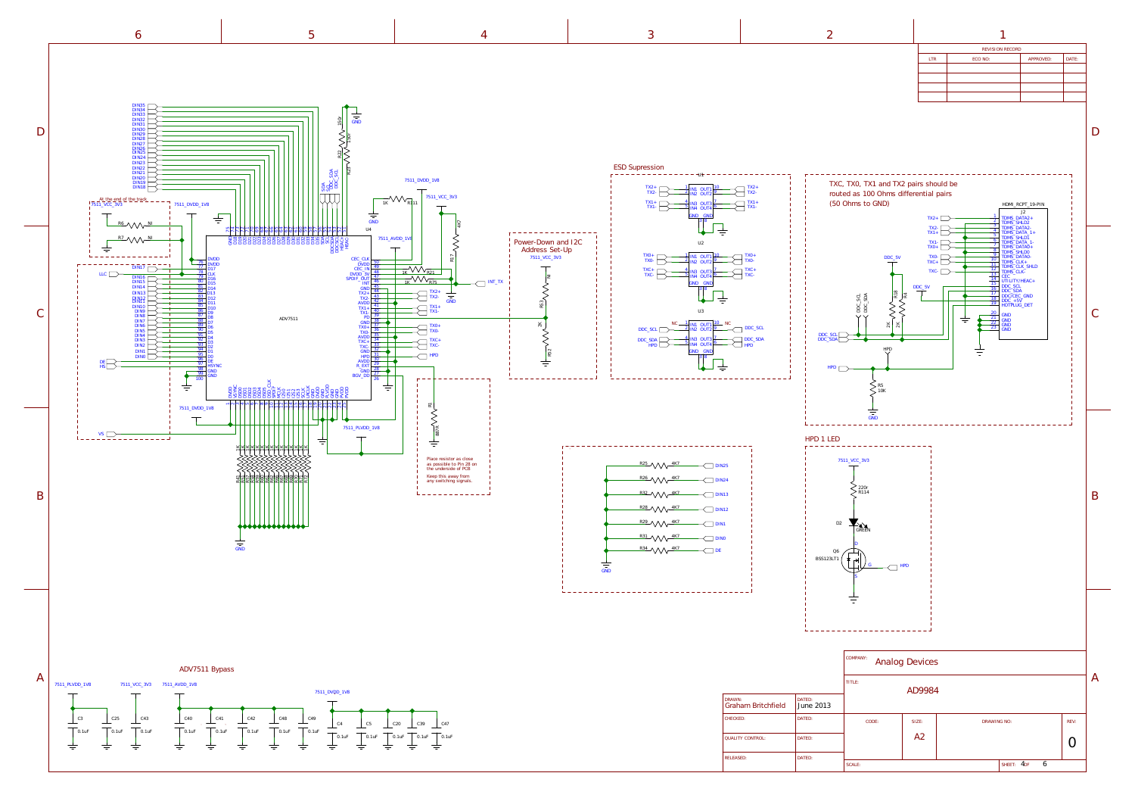<span id="page-3-0"></span>



| REVISION RECORD |         |           |       |
|-----------------|---------|-----------|-------|
| LTR             | ECO NO: | APPROVED: | DATE: |
|                 |         |           |       |
|                 |         |           |       |
|                 |         |           |       |
|                 |         |           |       |
|                 |         |           |       |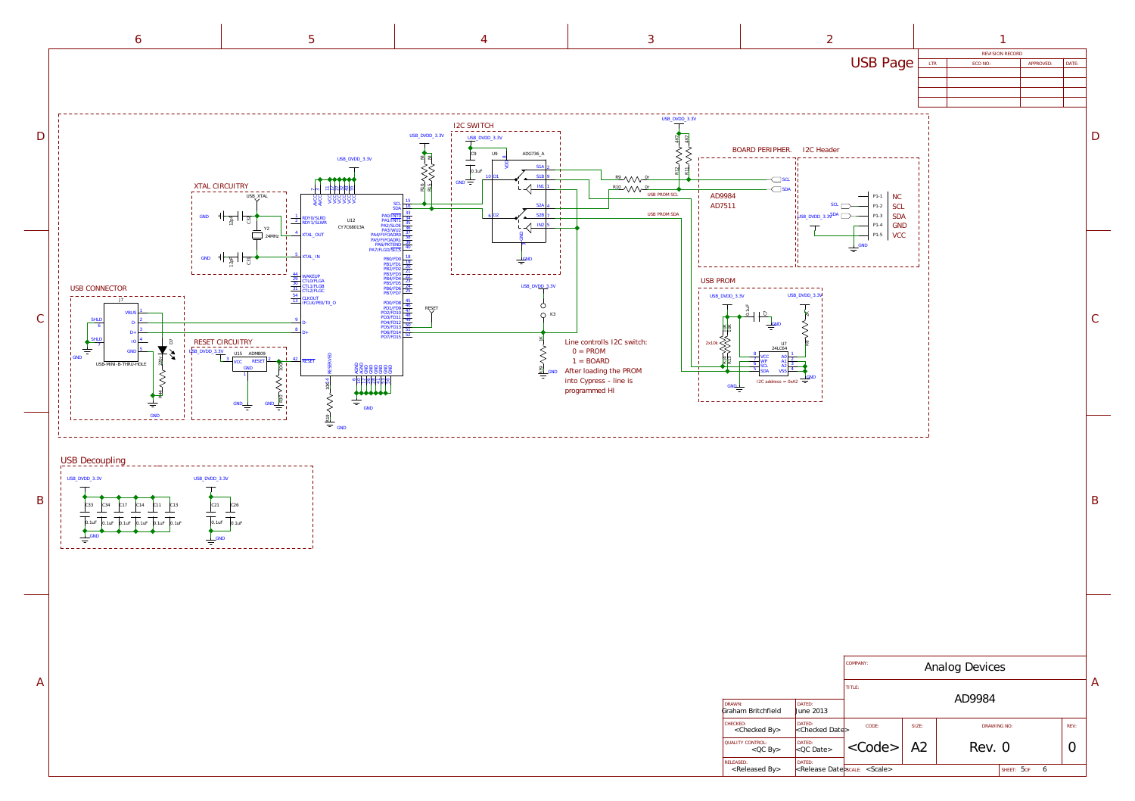

<span id="page-4-0"></span>I2C SWITCH D USB\_DVDD\_3.3V USB\_DVDD\_3.3V ADG736\_A C9 [USB\\_DVDD\\_3.3V](#page-5-0) ELS<br>SERVASI Els ANA  $\infty$ VDD  $\top$ }}<br>}}  $S1A$  2 0.1uF  $10$  D1  $\overline{\phantom{0}}$  S1B 9  $GND \rightarrow$ XTAL CIRCUITRY  $\prec$ IN1 1 14 ABSERVED<br>
20 AGND 20 AGND 20 AGND 20 AGND 20 AGND 20 AGND 20 AGND 20 AGND 20 AGND 20 AGND 20 AGND 20 AGND 20 AGND 20 AGN<br>
20 AGND 20 AGND 20 AGND 20 AGND 20 AGND 20 AGND 20 AGND 20 AGND 20 AGND 20 AGND 20 AGND 20 AGND 17 ଧା sk ន្∦  $55$  $\tilde{ }$ USB\_XTAL AVCC AVCC VCC VCC VCC VCC VCC  $SCL$   $\frac{15}{16}$ S2A 4  $\frac{1}{\sqrt{\frac{2}{\pi}}}\left\vert \begin{array}{cc} \frac{2}{\pi} & \frac{2}{\pi} \\ \frac{2}{\pi} & \frac{2}{\pi} \end{array} \right\vert.$ PA0/INTO 33<br>
PA1/INT1 34<br>
PA2/SLOE 36<br>
PA4/FIFOADR0 37<br>
PA4/FIFOADR1 28<br>
PA6/PKTEND<br>
PA7/FLGD/SLCS<br>
PA6/PKTEND 40 GND 6 D2 S2B 7 1 C32 **2 RDY0/SLRD**<br>RDY1/SLWR U12  $\prec\vdash$ IN2 5 CY7C68013A Y2 24MHz 4 TAL\_OUT ट्ट<br>क्रि on. 5 XTAL\_IN  $GND$   $\frac{1}{2}$   $\frac{1}{2}$   $\frac{1}{2}$   $\frac{1}{2}$ <u>G</u>ND 44<br>
29 CTLO/FLGA<br>
30 CTL1/FLGB<br>
31 CTL2/FLGC PB5/F<br>PB6/F<br>PB7/F USB\_DV<u>DD\_3</u>.3V USB CONNECTOR<br>---------------------TL2/FLGC<br>LKOUT PD0/FD8 45<br>
PD1/FD9 46<br>
PD2/FD10 47<br>
PD3/FD11 48<br>
PD4/FD12 50<br>
PD5/FD14 51<br>
PD7/FD15 52<br>
PD7/FD15 J7 TCLK/PE0/TO\_O  $\circ$  $\frac{1}{1}$   $\frac{1}{1}$   $\frac{1}{1}$   $\frac{1}{1}$   $\frac{1}{1}$   $\frac{1}{1}$   $\frac{1}{1}$   $\frac{1}{1}$   $\frac{1}{1}$   $\frac{1}{1}$   $\frac{1}{1}$   $\frac{1}{1}$   $\frac{1}{1}$   $\frac{1}{1}$   $\frac{1}{1}$   $\frac{1}{1}$   $\frac{1}{1}$   $\frac{1}{1}$   $\frac{1}{1}$   $\frac{1}{1}$   $\frac{1}{1}$   $\frac{1}{1}$  **VBU**  $Q$  K<sub>3</sub> C SHLD 2 9 D-D-6 3 8  $D+$  $D+$ **RS9 VVVIR** SHLD 4 RESET CIRCUITRY 2x10k Line controlls I2C switch:  $\tilde{\circ}$ IO 7  $0 = PROM$  $\;\doteq$ 5 GN . X USB\_DVDD\_3.3V ADM809 14 RESERVED GND  $1 = \text{BOARD}$ R44 VVV-220r 3 2 <sup>42</sup> RESET VCC RESET R30 V V V 100K USB-MINI-B-THRU-HOLI <u>a</u><br>22 GBBBBB<br>22 GBBBBB GND After loading the PROM GND 1 into Cypress - line is co R19 VVV 613 programmed HI  $\frac{1}{\pi}$ ₹ GND GND GND GND [GND](#page-5-0)USB Decoupling ---------USB\_DVDD\_3.3V USB\_DVDD\_3.3V B C33 C21 C34 C17 C14 C11 C13 C26 0.1uF 0.1uF 0.1uF 0.1uF 0.1uF 0.1uF 0.1uF 0.1uF GND GND ₹  $\equiv$ A